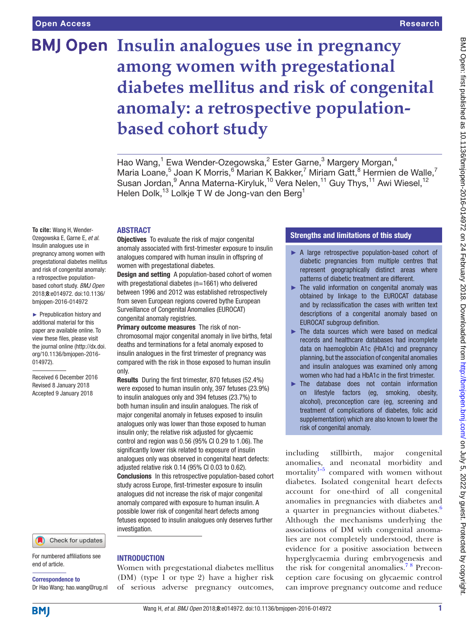**To cite:** Wang H, Wender-Ozegowska E, Garne E, *et al*. Insulin analogues use in pregnancy among women with pregestational diabetes mellitus and risk of congenital anomaly: a retrospective populationbased cohort study. *BMJ Open* 2018;8:e014972. doi:10.1136/ bmjopen-2016-014972 ► Prepublication history and additional material for this paper are available online. To view these files, please visit the journal online [\(http://dx.doi.](http://dx.doi.org/10.1136/bmjopen-2016-014972) [org/10.1136/bmjopen-2016-](http://dx.doi.org/10.1136/bmjopen-2016-014972)

[014972\)](http://dx.doi.org/10.1136/bmjopen-2016-014972).

Received 6 December 2016 Revised 8 January 2018 Accepted 9 January 2018

# **BMJ Open Insulin analogues use in pregnancy among women with pregestational diabetes mellitus and risk of congenital anomaly: a retrospective populationbased cohort study**

Hao Wang, $^1$  Ewa Wender-Ozegowska, $^2$  Ester Garne, $^3$  Margery Morgan, $^4$ Maria Loane,<sup>5</sup> Joan K Morris,<sup>6</sup> Marian K Bakker,<sup>7</sup> Miriam Gatt,<sup>8</sup> Hermien de Walle,<sup>7</sup> Susan Jordan, <sup>9</sup> Anna Materna-Kiryluk, <sup>10</sup> Vera Nelen, <sup>11</sup> Guy Thys, <sup>11</sup> Awi Wiesel, <sup>12</sup> Helen Dolk,<sup>13</sup> Lolkje T W de Jong-van den Berg<sup>1</sup>

## **ABSTRACT**

**Objectives** To evaluate the risk of major congenital anomaly associated with first-trimester exposure to insulin analogues compared with human insulin in offspring of women with pregestational diabetes.

Design and setting A population-based cohort of women with pregestational diabetes (n=1661) who delivered between 1996 and 2012 was established retrospectively from seven European regions covered bythe European Surveillance of Congenital Anomalies (EUROCAT) congenital anomaly registries.

Primary outcome measures The risk of nonchromosomal major congenital anomaly in live births, fetal deaths and terminations for a fetal anomaly exposed to insulin analogues in the first trimester of pregnancy was compared with the risk in those exposed to human insulin only.

Results During the first trimester, 870 fetuses (52.4%) were exposed to human insulin only, 397 fetuses (23.9%) to insulin analogues only and 394 fetuses (23.7%) to both human insulin and insulin analogues. The risk of major congenital anomaly in fetuses exposed to insulin analogues only was lower than those exposed to human insulin only; the relative risk adjusted for glycaemic control and region was 0.56 (95% CI 0.29 to 1.06). The significantly lower risk related to exposure of insulin analogues only was observed in congenital heart defects: adjusted relative risk 0.14 (95% CI 0.03 to 0.62). Conclusions In this retrospective population-based cohort study across Europe, first-trimester exposure to insulin analogues did not increase the risk of major congenital anomaly compared with exposure to human insulin. A possible lower risk of congenital heart defects among fetuses exposed to insulin analogues only deserves further investigation.

Check for updates

For numbered affiliations see end of article.

Correspondence to Dr Hao Wang; hao.wang@rug.nl

# **INTRODUCTION**

Women with pregestational diabetes mellitus (DM) (type 1 or type 2) have a higher risk of serious adverse pregnancy outcomes,

# Strengths and limitations of this study

- ► A large retrospective population-based cohort of diabetic pregnancies from multiple centres that represent geographically distinct areas where patterns of diabetic treatment are different.
- ► The valid information on congenital anomaly was obtained by linkage to the EUROCAT database and by reclassification the cases with written text descriptions of a congenital anomaly based on EUROCAT subgroup definition.
- ► The data sources which were based on medical records and healthcare databases had incomplete data on haemoglobin A1c (HbA1c) and pregnancy planning, but the association of congenital anomalies and insulin analogues was examined only among women who had had a HbA1c in the first trimester.
- ► The database does not contain information on lifestyle factors (eg, smoking, obesity, alcohol), preconception care (eg, screening and treatment of complications of diabetes, folic acid supplementation) which are also known to lower the risk of congenital anomaly.

including stillbirth, major congenital anomalies, and neonatal morbidity and mortality $1-5$  compared with women without diabetes. Isolated congenital heart defects account for one-third of all congenital anomalies in pregnancies with diabetes and a quarter in pregnancies without diabetes.<sup>6</sup> Although the mechanisms underlying the associations of DM with congenital anomalies are not completely understood, there is evidence for a positive association between hyperglycaemia during embryogenesis and the risk for congenital anomalies.<sup>78</sup> Preconception care focusing on glycaemic control can improve pregnancy outcome and reduce

**BMI**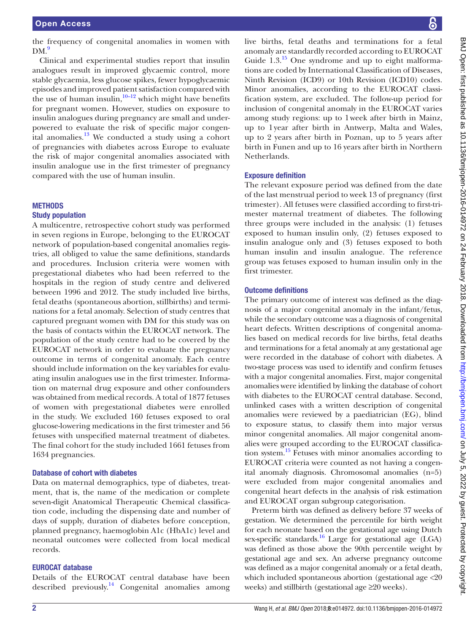the frequency of congenital anomalies in women with  $DM.<sup>9</sup>$ 

Clinical and experimental studies report that insulin analogues result in improved glycaemic control, more stable glycaemia, less glucose spikes, fewer hypoglycaemic episodes and improved patient satisfaction compared with the use of human insulin, $10^{-12}$  which might have benefits for pregnant women. However, studies on exposure to insulin analogues during pregnancy are small and underpowered to evaluate the risk of specific major congenital anomalies. $^{13}$  $^{13}$  $^{13}$  We conducted a study using a cohort of pregnancies with diabetes across Europe to evaluate the risk of major congenital anomalies associated with insulin analogue use in the first trimester of pregnancy compared with the use of human insulin.

## **METHODS**

#### Study population

A multicentre, retrospective cohort study was performed in seven regions in Europe, belonging to the EUROCAT network of population-based congenital anomalies registries, all obliged to value the same definitions, standards and procedures. Inclusion criteria were women with pregestational diabetes who had been referred to the hospitals in the region of study centre and delivered between 1996 and 2012. The study included live births, fetal deaths (spontaneous abortion, stillbirths) and terminations for a fetal anomaly. Selection of study centres that captured pregnant women with DM for this study was on the basis of contacts within the EUROCAT network. The population of the study centre had to be covered by the EUROCAT network in order to evaluate the pregnancy outcome in terms of congenital anomaly. Each centre should include information on the key variables for evaluating insulin analogues use in the first trimester. Information on maternal drug exposure and other confounders was obtained from medical records. A total of 1877 fetuses of women with pregestational diabetes were enrolled in the study. We excluded 160 fetuses exposed to oral glucose-lowering medications in the first trimester and 56 fetuses with unspecified maternal treatment of diabetes. The final cohort for the study included 1661 fetuses from 1634 pregnancies.

#### Database of cohort with diabetes

Data on maternal demographics, type of diabetes, treatment, that is, the name of the medication or complete seven-digit Anatomical Therapeutic Chemical classification code, including the dispensing date and number of days of supply, duration of diabetes before conception, planned pregnancy, haemoglobin A1c (HbA1c) level and neonatal outcomes were collected from local medical records.

#### EUROCAT database

Details of the EUROCAT central database have been described previously.<sup>14</sup> Congenital anomalies among

live births, fetal deaths and terminations for a fetal anomaly are standardly recorded according to EUROCAT Guide  $1.3^{15}$  $1.3^{15}$  $1.3^{15}$  One syndrome and up to eight malformations are coded by International Classification of Diseases, Ninth Revision (ICD9) or 10th Revision (ICD10) codes. Minor anomalies, according to the EUROCAT classification system, are excluded. The follow-up period for inclusion of congenital anomaly in the EUROCAT varies among study regions: up to 1week after birth in Mainz, up to 1year after birth in Antwerp, Malta and Wales, up to 2 years after birth in Poznan, up to 5 years after birth in Funen and up to 16 years after birth in Northern Netherlands.

# Exposure definition

The relevant exposure period was defined from the date of the last menstrual period to week 13 of pregnancy (first trimester). All fetuses were classified according to first-trimester maternal treatment of diabetes. The following three groups were included in the analysis: (1) fetuses exposed to human insulin only, (2) fetuses exposed to insulin analogue only and (3) fetuses exposed to both human insulin and insulin analogue. The reference group was fetuses exposed to human insulin only in the first trimester.

## Outcome definitions

The primary outcome of interest was defined as the diagnosis of a major congenital anomaly in the infant/fetus, while the secondary outcome was a diagnosis of congenital heart defects. Written descriptions of congenital anomalies based on medical records for live births, fetal deaths and terminations for a fetal anomaly at any gestational age were recorded in the database of cohort with diabetes. A two-stage process was used to identify and confirm fetuses with a major congenital anomalies. First, major congenital anomalies were identified by linking the database of cohort with diabetes to the EUROCAT central database. Second, unlinked cases with a written description of congenital anomalies were reviewed by a paediatrician (EG), blind to exposure status, to classify them into major versus minor congenital anomalies. All major congenital anomalies were grouped according to the EUROCAT classification system.[15](#page-8-7) Fetuses with minor anomalies according to EUROCAT criteria were counted as not having a congenital anomaly diagnosis. Chromosomal anomalies (n=5) were excluded from major congenital anomalies and congenital heart defects in the analysis of risk estimation and EUROCAT organ subgroup categorisation.

Preterm birth was defined as delivery before 37 weeks of gestation. We determined the percentile for birth weight for each neonate based on the gestational age using Dutch sex-specific standards.<sup>16</sup> Large for gestational age  $(LGA)$ was defined as those above the 90th percentile weight by gestational age and sex. An adverse pregnancy outcome was defined as a major congenital anomaly or a fetal death, which included spontaneous abortion (gestational age  $\langle 20 \rangle$ ) weeks) and stillbirth (gestational age ≥20 weeks).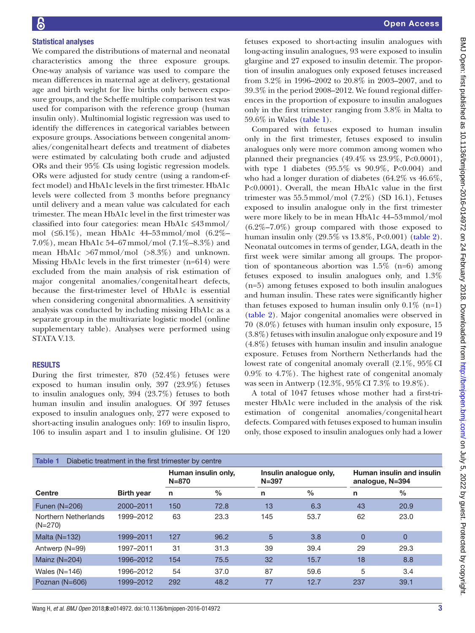# Statistical analyses

We compared the distributions of maternal and neonatal characteristics among the three exposure groups. One-way analysis of variance was used to compare the mean differences in maternal age at delivery, gestational age and birth weight for live births only between exposure groups, and the Scheffe multiple comparison test was used for comparison with the reference group (human insulin only). Multinomial logistic regression was used to identify the differences in categorical variables between exposure groups. Associations between congenital anomalies/congenitalheart defects and treatment of diabetes were estimated by calculating both crude and adjusted ORs and their 95% CIs using logistic regression models. ORs were adjusted for study centre (using a random-effect model) and HbA1c levels in the first trimester. HbA1c levels were collected from 3 months before pregnancy until delivery and a mean value was calculated for each trimester. The mean HbA1c level in the first trimester was classified into four categories: mean HbA1c ≤43mmol/ mol (≤6.1%), mean HbA1c 44–53mmol/mol (6.2%– 7.0%), mean HbA1c 54–67mmol/mol (7.1%–8.3%) and mean HbA1c >67mmol/mol (>8.3%) and unknown. Missing HbA1c levels in the first trimester (n=614) were excluded from the main analysis of risk estimation of major congenital anomalies/congenitalheart defects, because the first-trimester level of HbA1c is essential when considering congenital abnormalities. A sensitivity analysis was conducted by including missing HbA1c as a separate group in the multivariate logistic model (online [supplementary table](https://dx.doi.org/10.1136/bmjopen-2016-014972)). Analyses were performed using STATA V.13.

#### **RESULTS**

During the first trimester, 870 (52.4%) fetuses were exposed to human insulin only, 397 (23.9%) fetuses to insulin analogues only, 394 (23.7%) fetuses to both human insulin and insulin analogues. Of 397 fetuses exposed to insulin analogues only, 277 were exposed to short-acting insulin analogues only: 169 to insulin lispro, 106 to insulin aspart and 1 to insulin glulisine. Of 120 fetuses exposed to short-acting insulin analogues with long-acting insulin analogues, 93 were exposed to insulin glargine and 27 exposed to insulin detemir. The proportion of insulin analogues only exposed fetuses increased from 3.2% in 1996–2002 to 20.8% in 2003–2007, and to 39.3% in the period 2008–2012. We found regional differences in the proportion of exposure to insulin analogues only in the first trimester ranging from 3.8% in Malta to 59.6% in Wales ([table](#page-2-0) 1).

Compared with fetuses exposed to human insulin only in the first trimester, fetuses exposed to insulin analogues only were more common among women who planned their pregnancies  $(49.4\% \text{ vs } 23.9\%, \text{ P} < 0.0001),$ with type 1 diabetes  $(95.5\% \text{ vs } 90.9\%, \text{ P}<0.004)$  and who had a longer duration of diabetes (64.2% vs 46.6%, P<0.0001). Overall, the mean HbA1c value in the first trimester was  $55.5 \text{mmol/mol}$  (7.2%) (SD 16.1), Fetuses exposed to insulin analogue only in the first trimester were more likely to be in mean HbA1c 44–53mmol/mol (6.2%–7.0%) group compared with those exposed to human insulin only (29.5% vs 13.8%, P<0.001) [\(table](#page-3-0) 2). Neonatal outcomes in terms of gender, LGA, death in the first week were similar among all groups. The proportion of spontaneous abortion was 1.5% (n=6) among fetuses exposed to insulin analogues only, and 1.3% (n=5) among fetuses exposed to both insulin analogues and human insulin. These rates were significantly higher than fetuses exposed to human insulin only  $0.1\%$  (n=1) [\(table](#page-3-0) 2). Major congenital anomalies were observed in 70 (8.0%) fetuses with human insulin only exposure, 15 (3.8%) fetuses with insulin analogue only exposure and 19 (4.8%) fetuses with human insulin and insulin analogue exposure. Fetuses from Northern Netherlands had the lowest rate of congenital anomaly overall (2.1%, 95%CI 0.9% to 4.7%). The highest rate of congenital anomaly was seen in Antwerp (12.3%, 95%CI 7.3% to 19.8%).

A total of 1047 fetuses whose mother had a first-trimester HbA1c were included in the analysis of the risk estimation of congenital anomalies/congenitalheart defects. Compared with fetuses exposed to human insulin only, those exposed to insulin analogues only had a lower

<span id="page-2-0"></span>

| <b>Table 1</b><br>Diabetic treatment in the first trimester by centre |                   |                                  |               |                                     |               |                                              |               |
|-----------------------------------------------------------------------|-------------------|----------------------------------|---------------|-------------------------------------|---------------|----------------------------------------------|---------------|
|                                                                       |                   | Human insulin only,<br>$N = 870$ |               | Insulin analogue only,<br>$N = 397$ |               | Human insulin and insulin<br>analogue, N=394 |               |
| <b>Centre</b>                                                         | <b>Birth year</b> | n                                | $\frac{0}{0}$ | n                                   | $\frac{0}{0}$ | n                                            | $\frac{0}{0}$ |
| Funen $(N=206)$                                                       | 2000-2011         | 150                              | 72.8          | 13                                  | 6.3           | 43                                           | 20.9          |
| Northern Netherlands<br>$(N=270)$                                     | 1999-2012         | 63                               | 23.3          | 145                                 | 53.7          | 62                                           | 23.0          |
| Malta $(N=132)$                                                       | 1999-2011         | 127                              | 96.2          | 5                                   | 3.8           | $\Omega$                                     | 0             |
| Antwerp $(N=99)$                                                      | 1997-2011         | 31                               | 31.3          | 39                                  | 39.4          | 29                                           | 29.3          |
| Mainz $(N=204)$                                                       | 1996-2012         | 154                              | 75.5          | 32                                  | 15.7          | 18                                           | 8.8           |
| Wales $(N=146)$                                                       | 1996-2012         | 54                               | 37.0          | 87                                  | 59.6          | 5                                            | 3.4           |
| Poznan $(N=606)$                                                      | 1999-2012         | 292                              | 48.2          | 77                                  | 12.7          | 237                                          | 39.1          |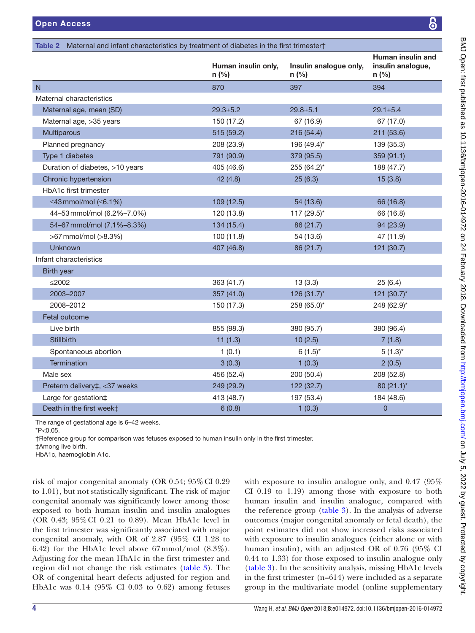<span id="page-3-0"></span>

| Table 2 Maternal and infant characteristics by treatment of diabetes in the first trimester† |  |
|----------------------------------------------------------------------------------------------|--|

|                                   | Human insulin only,<br>$n$ (%) | Insulin analogue only,<br>$n$ (%) | Human insulin and<br>insulin analogue,<br>$n$ (%) |
|-----------------------------------|--------------------------------|-----------------------------------|---------------------------------------------------|
| $\overline{N}$                    | 870                            | 397                               | 394                                               |
| Maternal characteristics          |                                |                                   |                                                   |
| Maternal age, mean (SD)           | $29.3 + 5.2$                   | $29.8 + 5.1$                      | $29.1 \pm 5.4$                                    |
| Maternal age, >35 years           | 150 (17.2)                     | 67 (16.9)                         | 67 (17.0)                                         |
| Multiparous                       | 515 (59.2)                     | 216 (54.4)                        | 211 (53.6)                                        |
| Planned pregnancy                 | 208 (23.9)                     | 196 (49.4)*                       | 139 (35.3)                                        |
| Type 1 diabetes                   | 791 (90.9)                     | 379 (95.5)                        | 359 (91.1)                                        |
| Duration of diabetes, >10 years   | 405 (46.6)                     | 255 (64.2)*                       | 188 (47.7)                                        |
| Chronic hypertension              | 42 (4.8)                       | 25(6.3)                           | 15(3.8)                                           |
| <b>HbA1c first trimester</b>      |                                |                                   |                                                   |
| $\leq$ 43 mmol/mol ( $\leq$ 6.1%) | 109 (12.5)                     | 54 (13.6)                         | 66 (16.8)                                         |
| 44-53 mmol/mol (6.2%-7.0%)        | 120 (13.8)                     | 117 (29.5)*                       | 66 (16.8)                                         |
| 54-67 mmol/mol (7.1%-8.3%)        | 134 (15.4)                     | 86 (21.7)                         | 94 (23.9)                                         |
| >67 mmol/mol (>8.3%)              | 100 (11.8)                     | 54 (13.6)                         | 47 (11.9)                                         |
| <b>Unknown</b>                    | 407 (46.8)                     | 86 (21.7)                         | 121 (30.7)                                        |
| Infant characteristics            |                                |                                   |                                                   |
| Birth year                        |                                |                                   |                                                   |
| ≤2002                             | 363 (41.7)                     | 13(3.3)                           | 25(6.4)                                           |
| 2003-2007                         | 357 (41.0)                     | 126 (31.7)*                       | 121 $(30.7)^{*}$                                  |
| 2008-2012                         | 150 (17.3)                     | 258 (65.0)*                       | 248 (62.9)*                                       |
| Fetal outcome                     |                                |                                   |                                                   |
| Live birth                        | 855 (98.3)                     | 380 (95.7)                        | 380 (96.4)                                        |
| <b>Stillbirth</b>                 | 11(1.3)                        | 10(2.5)                           | 7(1.8)                                            |
| Spontaneous abortion              | 1(0.1)                         | $6(1.5)^{*}$                      | $5(1.3)^{*}$                                      |
| Termination                       | 3(0.3)                         | 1(0.3)                            | 2(0.5)                                            |
| Male sex                          | 456 (52.4)                     | 200 (50.4)                        | 208 (52.8)                                        |
| Preterm delivery‡, <37 weeks      | 249 (29.2)                     | 122 (32.7)                        | 80 (21.1)*                                        |
| Large for gestation‡              | 413 (48.7)                     | 197 (53.4)                        | 184 (48.6)                                        |
| Death in the first week‡          | 6(0.8)                         | 1(0.3)                            | $\overline{0}$                                    |

The range of gestational age is 6–42 weeks.

 $*P<0.05$ .

†Reference group for comparison was fetuses exposed to human insulin only in the first trimester.

‡Among live birth.

HbA1c, haemoglobin A1c.

risk of major congenital anomaly (OR 0.54; 95%CI 0.29 to 1.01), but not statistically significant. The risk of major congenital anomaly was significantly lower among those exposed to both human insulin and insulin analogues (OR 0.43; 95%CI 0.21 to 0.89). Mean HbA1c level in the first trimester was significantly associated with major congenital anomaly, with OR of 2.87 (95% CI 1.28 to 6.42) for the HbA1c level above  $67$  mmol/mol  $(8.3\%)$ . Adjusting for the mean HbA1c in the first trimester and region did not change the risk estimates ([table](#page-4-0) 3). The OR of congenital heart defects adjusted for region and HbA1c was 0.14 (95% CI 0.03 to 0.62) among fetuses

with exposure to insulin analogue only, and 0.47 (95% CI 0.19 to 1.19) among those with exposure to both human insulin and insulin analogue, compared with the reference group ([table](#page-4-0) 3). In the analysis of adverse outcomes (major congenital anomaly or fetal death), the point estimates did not show increased risks associated with exposure to insulin analogues (either alone or with human insulin), with an adjusted OR of 0.76 (95% CI 0.44 to 1.33) for those exposed to insulin analogue only [\(table](#page-4-0) 3). In the sensitivity analysis, missing HbA1c levels in the first trimester (n=614) were included as a separate group in the multivariate model (online [supplementary](https://dx.doi.org/10.1136/bmjopen-2016-014972)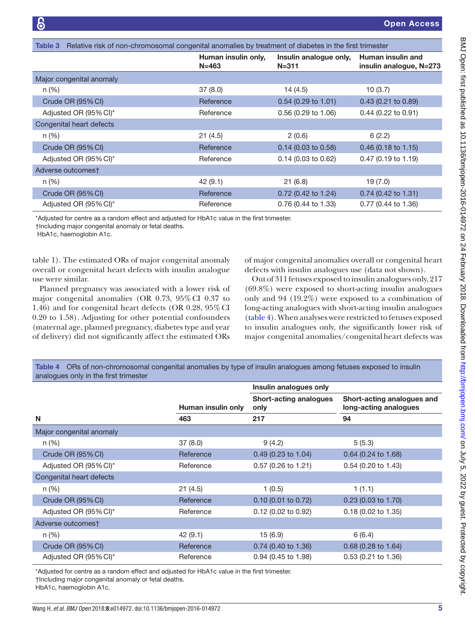<span id="page-4-0"></span>

| Relative risk of non-chromosomal congenital anomalies by treatment of diabetes in the first trimester<br>Table 3 |                                  |                                     |                                              |  |
|------------------------------------------------------------------------------------------------------------------|----------------------------------|-------------------------------------|----------------------------------------------|--|
|                                                                                                                  | Human insulin only,<br>$N = 463$ | Insulin analogue only,<br>$N = 311$ | Human insulin and<br>insulin analogue, N=273 |  |
| Major congenital anomaly                                                                                         |                                  |                                     |                                              |  |
| $n (\%)$                                                                                                         | 37(8.0)                          | 14(4.5)                             | 10(3.7)                                      |  |
| Crude OR (95% CI)                                                                                                | Reference                        | $0.54$ (0.29 to 1.01)               | $0.43$ (0.21 to 0.89)                        |  |
| Adjusted OR (95% CI)*                                                                                            | Reference                        | 0.56 (0.29 to 1.06)                 | 0.44 (0.22 to 0.91)                          |  |
| Congenital heart defects                                                                                         |                                  |                                     |                                              |  |
| $n (\%)$                                                                                                         | 21(4.5)                          | 2(0.6)                              | 6(2.2)                                       |  |
| Crude OR (95% CI)                                                                                                | Reference                        | $0.14$ (0.03 to 0.58)               | $0.46$ (0.18 to 1.15)                        |  |
| Adjusted OR (95% CI)*                                                                                            | Reference                        | $0.14$ (0.03 to 0.62)               | $0.47$ (0.19 to 1.19)                        |  |
| Adverse outcomest                                                                                                |                                  |                                     |                                              |  |
| $n (\%)$                                                                                                         | 42(9.1)                          | 21(6.8)                             | 19(7.0)                                      |  |
| Crude OR (95% CI)                                                                                                | Reference                        | $0.72$ (0.42 to 1.24)               | $0.74$ (0.42 to 1.31)                        |  |
| Adjusted OR (95% CI)*                                                                                            | Reference                        | 0.76 (0.44 to 1.33)                 | 0.77 (0.44 to 1.36)                          |  |

\*Adjusted for centre as a random effect and adjusted for HbA1c value in the first trimester.

†Including major congenital anomaly or fetal deaths.

HbA1c, haemoglobin A1c.

[table 1](https://dx.doi.org/10.1136/bmjopen-2016-014972)). The estimated ORs of major congenital anomaly overall or congenital heart defects with insulin analogue use were similar.

of major congenital anomalies overall or congenital heart defects with insulin analogues use (data not shown).

Planned pregnancy was associated with a lower risk of major congenital anomalies (OR 0.73, 95%CI 0.37 to 1.46) and for congenital heart defects (OR 0.28, 95%CI 0.20 to 1.58). Adjusting for other potential confounders (maternal age, planned pregnancy, diabetes type and year of delivery) did not significantly affect the estimated ORs

Out of 311 fetuses exposed to insulin analogues only, 217 (69.8%) were exposed to short-acting insulin analogues only and 94 (19.2%) were exposed to a combination of long-acting analogues with short-acting insulin analogues [\(table](#page-4-1) 4). When analyses were restricted to fetuses exposed to insulin analogues only, the significantly lower risk of major congenital anomalies/congenitalheart defects was

<span id="page-4-1"></span>Table 4 ORs of non-chromosomal congenital anomalies by type of insulin analogues among fetuses exposed to insulin analogues only in the first trimester

|                          |                    | Insulin analogues only                |                                                     |  |
|--------------------------|--------------------|---------------------------------------|-----------------------------------------------------|--|
|                          | Human insulin only | <b>Short-acting analogues</b><br>only | Short-acting analogues and<br>long-acting analogues |  |
| N                        | 463                | 217                                   | 94                                                  |  |
| Major congenital anomaly |                    |                                       |                                                     |  |
| $n (\%)$                 | 37(8.0)            | 9(4.2)                                | 5(5.3)                                              |  |
| Crude OR (95% CI)        | Reference          | $0.49$ (0.23 to 1.04)                 | $0.64$ (0.24 to 1.68)                               |  |
| Adjusted OR (95% CI)*    | Reference          | 0.57 (0.26 to 1.21)                   | 0.54 (0.20 to 1.43)                                 |  |
| Congenital heart defects |                    |                                       |                                                     |  |
| $n (\%)$                 | 21(4.5)            | 1(0.5)                                | 1(1.1)                                              |  |
| Crude OR (95% CI)        | Reference          | $0.10$ (0.01 to 0.72)                 | $0.23$ (0.03 to 1.70)                               |  |
| Adjusted OR (95% CI)*    | Reference          | 0.12 (0.02 to 0.92)                   | 0.18 (0.02 to 1.35)                                 |  |
| Adverse outcomes†        |                    |                                       |                                                     |  |
| $n (\%)$                 | 42(9.1)            | 15 (6.9)                              | 6(6.4)                                              |  |
| Crude OR (95% CI)        | Reference          | $0.74$ (0.40 to 1.36)                 | 0.68 (0.28 to 1.64)                                 |  |
| Adjusted OR (95% CI)*    | Reference          | 0.94 (0.45 to 1.98)                   | 0.53 (0.21 to 1.36)                                 |  |

\*Adjusted for centre as a random effect and adjusted for HbA1c value in the first trimester.

†Including major congenital anomaly or fetal deaths.

HbA1c, haemoglobin A1c.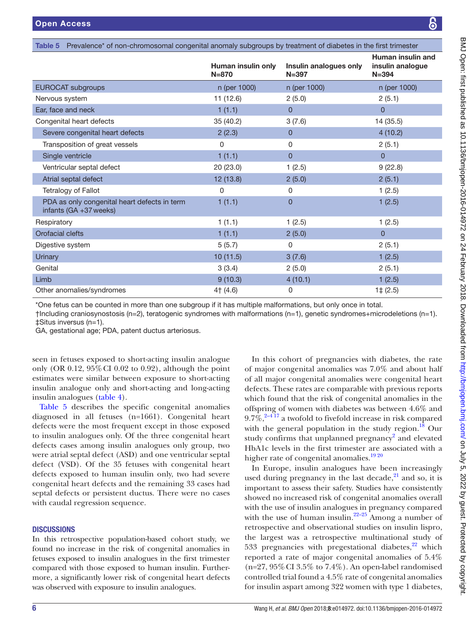<span id="page-5-0"></span>

|                                                                        | Human insulin only<br>$N = 870$ | Insulin analogues only<br>$N = 397$ | Human insulin and<br>insulin analogue<br>$N = 394$ |
|------------------------------------------------------------------------|---------------------------------|-------------------------------------|----------------------------------------------------|
| <b>EUROCAT subgroups</b>                                               | n (per 1000)                    | n (per 1000)                        | n (per 1000)                                       |
| Nervous system                                                         | 11(12.6)                        | 2(5.0)                              | 2(5.1)                                             |
| Ear, face and neck                                                     | 1(1.1)                          | $\overline{0}$                      | $\Omega$                                           |
| Congenital heart defects                                               | 35 (40.2)                       | 3(7.6)                              | 14 (35.5)                                          |
| Severe congenital heart defects                                        | 2(2.3)                          | $\overline{0}$                      | 4(10.2)                                            |
| Transposition of great vessels                                         | 0                               | 0                                   | 2(5.1)                                             |
| Single ventricle                                                       | 1(1.1)                          | $\overline{0}$                      | $\mathbf 0$                                        |
| Ventricular septal defect                                              | 20(23.0)                        | 1(2.5)                              | 9(22.8)                                            |
| Atrial septal defect                                                   | 12(13.8)                        | 2(5.0)                              | 2(5.1)                                             |
| Tetralogy of Fallot                                                    | $\Omega$                        | 0                                   | 1(2.5)                                             |
| PDA as only congenital heart defects in term<br>infants (GA +37 weeks) | 1(1.1)                          | $\overline{0}$                      | 1(2.5)                                             |
| Respiratory                                                            | 1(1.1)                          | 1(2.5)                              | 1(2.5)                                             |
| Orofacial clefts                                                       | 1(1.1)                          | 2(5.0)                              | $\Omega$                                           |
| Digestive system                                                       | 5(5.7)                          | 0                                   | 2(5.1)                                             |
| Urinary                                                                | 10(11.5)                        | 3(7.6)                              | 1(2.5)                                             |
| Genital                                                                | 3(3.4)                          | 2(5.0)                              | 2(5.1)                                             |
| Limb                                                                   | 9(10.3)                         | 4(10.1)                             | 1(2.5)                                             |
| Other anomalies/syndromes                                              | $4+ (4.6)$                      | 0                                   | $1\neq$ (2.5)                                      |

\*One fetus can be counted in more than one subgroup if it has multiple malformations, but only once in total.

†Including craniosynostosis (n=2), teratogenic syndromes with malformations (n=1), genetic syndromes+microdeletions (n=1). ‡Situs inversus (n=1).

GA, gestational age; PDA, patent ductus arteriosus.

seen in fetuses exposed to short-acting insulin analogue only (OR 0.12, 95%CI 0.02 to 0.92), although the point estimates were similar between exposure to short-acting insulin analogue only and short-acting and long-acting insulin analogues [\(table](#page-4-1) 4).

[Table](#page-5-0) 5 describes the specific congenital anomalies diagnosed in all fetuses (n=1661). Congenital heart defects were the most frequent except in those exposed to insulin analogues only. Of the three congenital heart defects cases among insulin analogues only group, two were atrial septal defect (ASD) and one ventricular septal defect (VSD). Of the 35 fetuses with congenital heart defects exposed to human insulin only, two had severe congenital heart defects and the remaining 33 cases had septal defects or persistent ductus. There were no cases with caudal regression sequence.

# **DISCUSSIONS**

In this retrospective population-based cohort study, we found no increase in the risk of congenital anomalies in fetuses exposed to insulin analogues in the first trimester compared with those exposed to human insulin. Furthermore, a significantly lower risk of congenital heart defects was observed with exposure to insulin analogues.

In this cohort of pregnancies with diabetes, the rate of major congenital anomalies was 7.0% and about half of all major congenital anomalies were congenital heart defects. These rates are comparable with previous reports which found that the risk of congenital anomalies in the offspring of women with diabetes was between 4.6% and  $9.7\%$ ,<sup>2–417</sup> a twofold to fivefold increase in risk compared with the general population in the study region.<sup>18</sup> Our study confirms that unplanned pregnancy<sup>[2](#page-8-9)</sup> and elevated HbA1c levels in the first trimester are associated with a higher rate of congenital anomalies.<sup>[19 20](#page-8-11)</sup>

In Europe, insulin analogues have been increasingly used during pregnancy in the last decade, $21$  and so, it is important to assess their safety. Studies have consistently showed no increased risk of congenital anomalies overall with the use of insulin analogues in pregnancy compared with the use of human insulin.<sup>[22–25](#page-8-13)</sup> Among a number of retrospective and observational studies on insulin lispro, the largest was a retrospective multinational study of 533 pregnancies with pregestational diabetes, $2^2$  which reported a rate of major congenital anomalies of 5.4%  $(n=27, 95\% \text{ CI } 3.5\%$  to 7.4%). An open-label randomised controlled trial found a 4.5% rate of congenital anomalies for insulin aspart among 322 women with type 1 diabetes,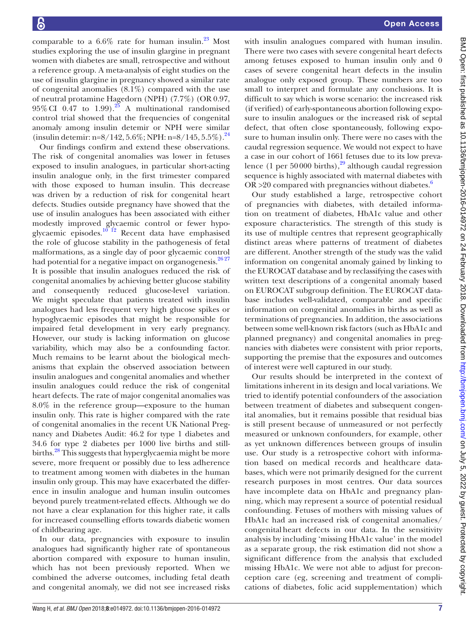comparable to a  $6.6\%$  rate for human insulin.<sup>23</sup> Most studies exploring the use of insulin glargine in pregnant women with diabetes are small, retrospective and without a reference group. A meta-analysis of eight studies on the use of insulin glargine in pregnancy showed a similar rate of congenital anomalies (8.1%) compared with the use of neutral protamine Hagedorn (NPH) (7.7%) (OR 0.97,  $95\%$  CI 0.47 to 1.99).<sup>25</sup> A multinational randomised control trial showed that the frequencies of congenital anomaly among insulin detemir or NPH were similar (insulin detemir: n=8/142, 5.6%; NPH: n=8/145, 5.5%).<sup>24</sup>

Our findings confirm and extend these observations. The risk of congenital anomalies was lower in fetuses exposed to insulin analogues, in particular short-acting insulin analogue only, in the first trimester compared with those exposed to human insulin. This decrease was driven by a reduction of risk for congenital heart defects. Studies outside pregnancy have showed that the use of insulin analogues has been associated with either modestly improved glycaemic control or fewer hypoglycaemic episodes.<sup>10 12</sup> Recent data have emphasised the role of glucose stability in the pathogenesis of fetal malformations, as a single day of poor glycaemic control had potential for a negative impact on organogenesis.<sup>[26 27](#page-8-17)</sup> It is possible that insulin analogues reduced the risk of congenital anomalies by achieving better glucose stability and consequently reduced glucose-level variation. We might speculate that patients treated with insulin analogues had less frequent very high glucose spikes or hypoglycaemic episodes that might be responsible for impaired fetal development in very early pregnancy. However, our study is lacking information on glucose variability, which may also be a confounding factor. Much remains to be learnt about the biological mechanisms that explain the observed association between insulin analogues and congenital anomalies and whether insulin analogues could reduce the risk of congenital heart defects. The rate of major congenital anomalies was 8.0% in the reference group—exposure to the human insulin only. This rate is higher compared with the rate of congenital anomalies in the recent UK National Pregnancy and Diabetes Audit: 46.2 for type 1 diabetes and 34.6 for type 2 diabetes per 1000 live births and still-births.<sup>[28](#page-8-18)</sup> This suggests that hyperglycaemia might be more severe, more frequent or possibly due to less adherence to treatment among women with diabetes in the human insulin only group. This may have exacerbated the difference in insulin analogue and human insulin outcomes beyond purely treatment-related effects. Although we do not have a clear explanation for this higher rate, it calls for increased counselling efforts towards diabetic women of childbearing age.

In our data, pregnancies with exposure to insulin analogues had significantly higher rate of spontaneous abortion compared with exposure to human insulin, which has not been previously reported. When we combined the adverse outcomes, including fetal death and congenital anomaly, we did not see increased risks

with insulin analogues compared with human insulin. There were two cases with severe congenital heart defects among fetuses exposed to human insulin only and 0 cases of severe congenital heart defects in the insulin analogue only exposed group. These numbers are too small to interpret and formulate any conclusions. It is difficult to say which is worse scenario: the increased risk (if verified) of early-spontaneous abortion following exposure to insulin analogues or the increased risk of septal defect, that often close spontaneously, following exposure to human insulin only. There were no cases with the caudal regression sequence. We would not expect to have a case in our cohort of 1661 fetuses due to its low prevalence (1 per  $50000$  births),<sup>29</sup> although caudal regression sequence is highly associated with maternal diabetes with  $OR > 20$  compared with pregnancies without diabetes.<sup>[6](#page-8-1)</sup>

Our study established a large, retrospective cohort of pregnancies with diabetes, with detailed information on treatment of diabetes, HbA1c value and other exposure characteristics. The strength of this study is its use of multiple centres that represent geographically distinct areas where patterns of treatment of diabetes are different. Another strength of the study was the valid information on congenital anomaly gained by linking to the EUROCAT database and by reclassifying the cases with written text descriptions of a congenital anomaly based on EUROCAT subgroup definition. The EUROCAT database includes well-validated, comparable and specific information on congenital anomalies in births as well as terminations of pregnancies. In addition, the associations between some well-known risk factors (such as HbA1c and planned pregnancy) and congenital anomalies in pregnancies with diabetes were consistent with prior reports, supporting the premise that the exposures and outcomes of interest were well captured in our study.

Our results should be interpreted in the context of limitations inherent in its design and local variations. We tried to identify potential confounders of the association between treatment of diabetes and subsequent congenital anomalies, but it remains possible that residual bias is still present because of unmeasured or not perfectly measured or unknown confounders, for example, other as yet unknown differences between groups of insulin use. Our study is a retrospective cohort with information based on medical records and healthcare databases, which were not primarily designed for the current research purposes in most centres. Our data sources have incomplete data on HbA1c and pregnancy planning, which may represent a source of potential residual confounding. Fetuses of mothers with missing values of HbA1c had an increased risk of congenital anomalies/ congenitalheart defects in our data. In the sensitivity analysis by including 'missing HbA1c value' in the model as a separate group, the risk estimation did not show a significant difference from the analysis that excluded missing HbA1c. We were not able to adjust for preconception care (eg, screening and treatment of complications of diabetes, folic acid supplementation) which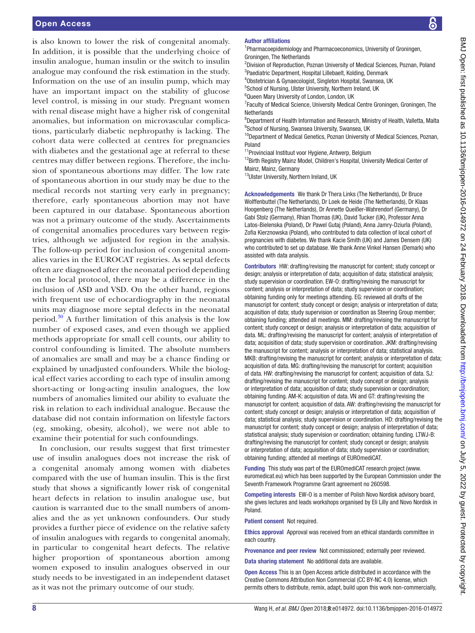is also known to lower the risk of congenital anomaly. In addition, it is possible that the underlying choice of insulin analogue, human insulin or the switch to insulin analogue may confound the risk estimation in the study. Information on the use of an insulin pump, which may have an important impact on the stability of glucose level control, is missing in our study. Pregnant women with renal disease might have a higher risk of congenital anomalies, but information on microvascular complications, particularly diabetic nephropathy is lacking. The cohort data were collected at centres for pregnancies with diabetes and the gestational age at referral to these centres may differ between regions. Therefore, the inclusion of spontaneous abortions may differ. The low rate of spontaneous abortion in our study may be due to the medical records not starting very early in pregnancy; therefore, early spontaneous abortion may not have been captured in our database. Spontaneous abortion was not a primary outcome of the study. Ascertainments of congenital anomalies procedures vary between registries, although we adjusted for region in the analysis. The follow-up period for inclusion of congenital anomalies varies in the EUROCAT registries. As septal defects often are diagnosed after the neonatal period depending on the local protocol, there may be a difference in the inclusion of ASD and VSD. On the other hand, regions with frequent use of echocardiography in the neonatal units may diagnose more septal defects in the neonatal period. $30$  A further limitation of this analysis is the low number of exposed cases, and even though we applied methods appropriate for small cell counts, our ability to control confounding is limited. The absolute numbers of anomalies are small and may be a chance finding or explained by unadjusted confounders. While the biological effect varies according to each type of insulin among short-acting or long-acting insulin analogues, the low numbers of anomalies limited our ability to evaluate the risk in relation to each individual analogue. Because the database did not contain information on lifestyle factors (eg, smoking, obesity, alcohol), we were not able to examine their potential for such confoundings.

In conclusion, our results suggest that first trimester use of insulin analogues does not increase the risk of a congenital anomaly among women with diabetes compared with the use of human insulin. This is the first study that shows a significantly lower risk of congenital heart defects in relation to insulin analogue use, but caution is warranted due to the small numbers of anomalies and the as yet unknown confounders. Our study provides a further piece of evidence on the relative safety of insulin analogues with regards to congenital anomaly, in particular to congenital heart defects. The relative higher proportion of spontaneous abortion among women exposed to insulin analogues observed in our study needs to be investigated in an independent dataset as it was not the primary outcome of our study.

1 Pharmacoepidemiology and Pharmacoeconomics, University of Groningen, Groningen, The Netherlands

<sup>2</sup>Division of Reproduction, Poznan University of Medical Sciences, Poznan, Poland <sup>3</sup>Paediatric Department, Hospital Lillebaelt, Kolding, Denmark

4 Obstetrician & Gynaecologist, Singleton Hospital, Swansea, UK

<sup>5</sup>School of Nursing, Ulster University, Northern Ireland, UK

6 Queen Mary University of London, London, UK

<sup>7</sup> Faculty of Medical Science, University Medical Centre Groningen, Groningen, The **Netherlands** 

<sup>8</sup>Department of Health Information and Research, Ministry of Health, Valletta, Malta <sup>9</sup>School of Nursing, Swansea University, Swansea, UK

<sup>10</sup>Department of Medical Genetics, Poznan University of Medical Sciences, Poznan, Poland

<sup>11</sup>Provinciaal Instituut voor Hygiene, Antwerp, Belgium

<sup>12</sup>Birth Registry Mainz Model, Children's Hospital, University Medical Center of Mainz, Mainz, Germany

<sup>13</sup>Ulster University, Northern Ireland, UK

Acknowledgements We thank Dr Thera Links (The Netherlands), Dr Bruce Wolffenbuttel (The Netherlands), Dr Loek de Heide (The Netherlands), Dr Klaas Hoogenberg (The Netherlands), Dr Annette Queißer-Wahrendorf (Germany), Dr Gabi Stolz (Germany), Rhian Thomas (UK), David Tucker (UK), Professor Anna Latos-Bielenska (Poland), Dr Pawel Gutaj (Poland), Anna Jamry-Dziurla (Poland), Zofia Kierznowska (Poland), who contributed to data collection of local cohort of pregnancies with diabetes. We thank Kacie Smith (UK) and James Densem (UK) who contributed to set up database. We thank Anne Vinkel Hansen (Demark) who assisted with data analysis.

Contributors HW: drafting/revising the manuscript for content; study concept or design; analysis or interpretation of data; acquisition of data; statistical analysis; study supervision or coordination. EW-O: drafting/revising the manuscript for content; analysis or interpretation of data; study supervision or coordination; obtaining funding only for meetings attending. EG: reviewed all drafts of the manuscript for content; study concept or design; analysis or interpretation of data; acquisition of data; study supervision or coordination as Steering Group member; obtaining funding; attended all meetings. MM: drafting/revising the manuscript for content; study concept or design; analysis or interpretation of data; acquisition of data. ML: drafting/revising the manuscript for content; analysis of interpretation of data; acquisition of data; study supervision or coordination. JKM: drafting/revising the manuscript for content; analysis or interpretation of data; statistical analysis. MKB: drafting/revising the manuscript for content; analysis or interpretation of data; acquisition of data. MG: drafting/revising the manuscript for content; acquisition of data. HW: drafting/revising the manuscript for content; acquisition of data. SJ: drafting/revising the manuscript for content; study concept or design; analysis or interpretation of data; acquisition of data; study supervision or coordination; obtaining funding. AM-K: acquisition of data. VN and GT: drafting/revising the manuscript for content; acquisition of data. AW: drafting/revising the manuscript for content; study concept or design; analysis or interpretation of data; acquisition of data; statistical analysis; study supervision or coordination. HD: drafting/revising the manuscript for content; study concept or design; analysis of interpretation of data; statistical analysis; study supervision or coordination; obtaining funding. LTWJ-B: drafting/revising the manuscript for content; study concept or design; analysis or interpretation of data; acquisition of data; study supervision or coordination; obtaining funding; attended all meetings of EUROmediCAT.

Funding This study was part of the EUROmediCAT research project (www. euromedicat.eu) which has been supported by the European Commission under the Seventh Framework Programme Grant agreement no 260598.

Competing interests EW-O is a member of Polish Novo Nordisk advisory board, she gives lectures and leads workshops organised by Eli Lilly and Novo Nordisk in Poland.

Patient consent Not required.

Ethics approval Approval was received from an ethical standards committee in each country.

Provenance and peer review Not commissioned; externally peer reviewed.

Data sharing statement No additional data are available.

Open Access This is an Open Access article distributed in accordance with the Creative Commons Attribution Non Commercial (CC BY-NC 4.0) license, which permits others to distribute, remix, adapt, build upon this work non-commercially,